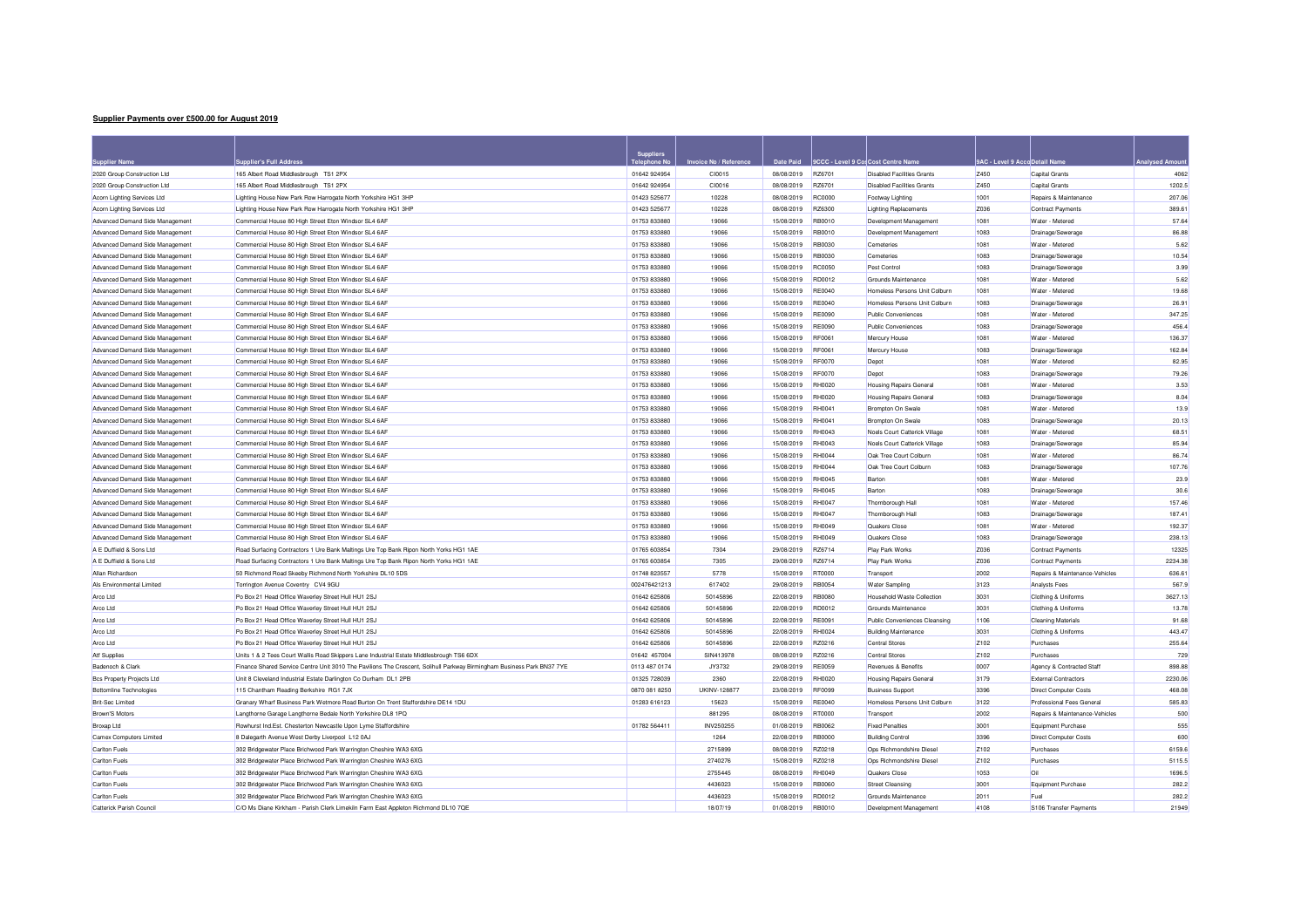## **Supplier Payments over £500.00 for August 2019**

| <b>Supplier Name</b>             | pplier's Full Address                                                                                                  | Suppliers     | Invoice No / Reference | Date Paid         | 9CCC - Level 9 Cos Cost Centre Name |                                   | <b>9AC - Level 9 Accd Detail Name</b> |                                           | <b>Analysed Amour</b> |
|----------------------------------|------------------------------------------------------------------------------------------------------------------------|---------------|------------------------|-------------------|-------------------------------------|-----------------------------------|---------------------------------------|-------------------------------------------|-----------------------|
| 2020 Group Construction Ltd      | 165 Albert Road Middlesbrough TS1 2PX                                                                                  | 01642 924954  | CI0015                 | 08/08/2019 RZ6701 |                                     | <b>Disabled Facilities Grants</b> | Z450                                  | Capital Grants                            | 4062                  |
| 2020 Group Construction Ltd      | 165 Albert Road Middlesbrough TS1 2PX                                                                                  | 01642 924954  | CI0016                 | 08/08/2019        | RZ6701                              | <b>Disabled Facilities Grants</b> | Z450                                  | Capital Grants                            | 1202.5                |
| Acorn Lighting Services Ltd      | Lighting House New Park Row Harrogate North Yorkshire HG1 3HP                                                          | 01423 525677  | 10228                  | 08/08/2019        | <b>RC0000</b>                       | Footway Lighting                  | 1001                                  | Repairs & Maintenance                     | 207.06                |
| Acorn Lighting Services Ltd      | Lighting House New Park Row Harrogate North Yorkshire HG1 3HP                                                          | 01423 525677  | 10228                  | 08/08/2019        | RZ6300                              | <b>Lighting Replacements</b>      | Z036                                  | <b>Contract Payments</b>                  | 389.61                |
| Advanced Demand Side Management  | Commercial House 80 High Street Eton Windsor SL4 6AF                                                                   | 01753 833880  | 19066                  | 15/08/2019        | <b>RB0010</b>                       | Development Management            | 1081                                  | Water - Metered                           | 57.64                 |
| Advanced Demand Side Management  | Commercial House 80 High Street Eton Windsor SL4 6AF                                                                   | 01753 833880  | 19066                  | 15/08/2019        | RB0010                              | Development Management            | 1083                                  | Drainage/Sewerage                         | 86.88                 |
| Advanced Demand Side Management  | Commercial House 80 High Street Eton Windsor SL4 6AF                                                                   | 01753 833880  | 19066                  | 15/08/2019        | <b>RB0030</b>                       | Cemeteries                        | 1081                                  | Water - Metered                           | 5.62                  |
| Advanced Demand Side Management  | Commercial House 80 High Street Eton Windsor SL4 6AF                                                                   | 01753 833880  | 19066                  | 15/08/2019        | RB0030                              | Cemeteries                        | 1083                                  | Drainage/Sewerage                         | 10.54                 |
| Advanced Demand Side Management  | Commercial House 80 High Street Eton Windsor SL4 6AF                                                                   | 01753 833880  | 19066                  | 15/08/2019        | <b>BC0050</b>                       | Pest Control                      | 1083                                  | Drainage/Sewerage                         | 3.99                  |
| Advanced Demand Side Management  | Commercial House 80 High Street Eton Windsor SL4 6AF                                                                   | 01753 833880  | 19066                  | 15/08/2019        | <b>BD0012</b>                       | Grounds Maintenance               | 1081                                  | Water - Metered                           | 5.62                  |
| Advanced Demand Side Management  | Commercial House 80 High Street Eton Windsor SL4 6AF                                                                   | 01753 833880  | 19066                  | 15/08/2019        | <b>RE0040</b>                       | Homeless Persons Unit Colbum      | 1081                                  | Water - Metered                           | 19.68                 |
| Advanced Demand Side Management  | Commercial House 80 High Street Eton Windsor SL4 6AF                                                                   | 01753 833880  | 19066                  | 15/08/2019        | <b>RE0040</b>                       | Homeless Persons Unit Colburn     | 1083                                  | Drainage/Sewerage                         | 26.91                 |
| Advanced Demand Side Management  | Commercial House 80 High Street Eton Windsor SL4 6AF                                                                   | 01753 833880  | 19066                  | 15/08/2019        | <b>RE0090</b>                       | Public Conveniences               | 1081                                  | Water - Metered                           | 347.25                |
| Advanced Demand Side Management  | Commercial House 80 High Street Eton Windsor SL4 6AF                                                                   | 01753 833880  | 19066                  | 15/08/2019        | <b>RE0090</b>                       | Public Conveniences               | 1083                                  | Drainage/Sewerage                         | 456.4                 |
| Advanced Demand Side Management  | Commercial House 80 High Street Eton Windsor SL4 6AF                                                                   | 01753 833880  | 19066                  | 15/08/2019        | <b>RF0061</b>                       | Mercury House                     | 1081                                  | Water - Metered                           | 136.37                |
| Advanced Demand Side Management  | Commercial House 80 High Street Eton Windsor SL4 6AF                                                                   | 01753 833880  | 19066                  | 15/08/2019        | <b>RE0061</b>                       | Mercury House                     | 1083                                  | Drainage/Sewerage                         | 162.8                 |
| Advanced Demand Side Management  | Commercial House 80 High Street Eton Windsor SL4 6AF                                                                   | 01753 833880  | 19066                  | 15/08/2019        | <b>RF0070</b>                       | Depot                             | 1081                                  | Water - Metered                           | 82.95                 |
| Advanced Demand Side Management  | Commercial House 80 High Street Eton Windsor SL4 6AF                                                                   | 01753 833880  | 19066                  | 15/08/2019        | <b>RF0070</b>                       | Depot                             | 1083                                  | Drainage/Sewerage                         | 79.26                 |
| Advanced Demand Side Management  | Commercial House 80 High Street Eton Windsor SL4 6AF                                                                   | 01753 833880  | 19066                  | 15/08/2019        | <b>RH0020</b>                       | <b>Housing Repairs General</b>    | 1081                                  | Water - Metered                           | 3.53                  |
| Advanced Demand Side Management  | Commercial House 80 High Street Eton Windsor SL4 6AF                                                                   | 01753 833880  | 19066                  | 15/08/2019        | <b>RH0020</b>                       | Housing Repairs General           | 1083                                  | Drainage/Sewerage                         | 8.04                  |
| Advanced Demand Side Management  | Commercial House 80 High Street Eton Windsor SL4 6AF                                                                   | 01753 833880  | 19066                  | 15/08/2019        | <b>RH0041</b>                       | Brompton On Swale                 | 1081                                  | Water - Metered                           | 13.9                  |
| Advanced Demand Side Management  | Commercial House 80 High Street Eton Windsor SL4 6AF                                                                   | 01753 833880  | 19066                  | 15/08/2019        | <b>RH0041</b>                       | Brompton On Swale                 | 1083                                  | Drainage/Sewerage                         | 20.13                 |
| Advanced Demand Side Management  | Commercial House 80 High Street Eton Windsor SL4 6AF                                                                   | 01753 833880  | 19066                  | 15/08/2019        | <b>RH0043</b>                       | Noels Court Catterick Village     | 1081                                  | Water - Metered                           | 68.51                 |
| Advanced Demand Side Management  | Commercial House 80 High Street Eton Windsor SL4 6AF                                                                   | 01753 833880  | 19066                  | 15/08/2019        | <b>RH0043</b>                       | Noels Court Catterick Village     | 1083                                  | Drainage/Sewerage                         | 85.94                 |
| Advanced Demand Side Management  | Commercial House 80 High Street Eton Windsor SL4 6AF                                                                   | 01753 833880  | 19066                  | 15/08/2019        | <b>RH0044</b>                       | Oak Tree Court Colburn            | 1081                                  | Water - Metered                           | 86.74                 |
| Advanced Demand Side Management  | Commercial House 80 High Street Eton Windsor SL4 6AF                                                                   | 01753 833880  | 19066                  | 15/08/2019        | <b>RH0044</b>                       | Oak Tree Court Colburn            | 1083                                  | Drainage/Sewerage                         | 107.76                |
| Advanced Demand Side Management  | Commercial House 80 High Street Eton Windsor SL4 6AF                                                                   | 01753 833880  | 19066                  | 15/08/2019        | <b>RH0045</b>                       | Bartor                            | 1081                                  | Water - Metered                           | 23.9                  |
| Advanced Demand Side Management  | Commercial House 80 High Street Eton Windsor SL4 6AF                                                                   | 01753 833880  | 19066                  | 15/08/2019        | <b>RH0045</b>                       | Barton                            | 1083                                  | Drainage/Sewerage                         | 30.6                  |
| Advanced Demand Side Management  | Commercial House 80 High Street Eton Windsor SL4 6AF                                                                   | 01753 833880  | 19066                  | 15/08/2019        | <b>RH0047</b>                       | Thornborough Hall                 | 1081                                  | Water - Metered                           | 157.46                |
| Advanced Demand Side Management  | Commercial House 80 High Street Eton Windsor SL4 6AF                                                                   | 01753 833880  | 19066                  | 15/08/2019        | <b>RH0047</b>                       | Thornborough Hal                  | 1083                                  | Drainage/Sewerage                         | 187.41                |
| Advanced Demand Side Management  | Commercial House 80 High Street Eton Windsor SL4 6AF                                                                   | 01753 833880  | 19066                  | 15/08/2019        | <b>RH0049</b>                       | Quakers Close                     | 1081                                  | Water - Metered                           | 192.37                |
| Advanced Demand Side Management  | Commercial House 80 High Street Eton Windsor SL4 6AF                                                                   | 01753 833880  | 19066                  | 15/08/2019        | <b>RH0049</b>                       | Quakers Close                     | 1083                                  | Drainage/Sewerage                         | 238.13                |
| A E Duffield & Sons Ltd          | Road Surfacing Contractors 1 Ure Bank Maltings Ure Top Bank Ripon North Yorks HG1 1AE                                  | 01765 603854  | 7304                   | 29/08/2019        | R76714                              | Play Park Works                   | Z036                                  | <b>Contract Payments</b>                  | 12325                 |
| A E Duffield & Sons Ltd          | Road Surfacing Contractors 1 Ure Bank Maltings Ure Top Bank Ripon North Yorks HG1 1AE                                  | 01765 603854  | 7305                   | 29/08/2019        | RZ6714                              | <b>Play Park Works</b>            | Z036                                  | <b>Contract Payments</b>                  | 2234.38               |
| Allan Richardson                 | 50 Richmond Road Skeeby Richmond North Yorkshire DL10 5DS                                                              | 01748 823557  | 5778                   | 15/08/2019        | <b>RT0000</b>                       | Transport                         | 2002                                  | <b>Benairs &amp; Maintenance-Vehicles</b> | 636.6                 |
| Als Environmental Limited        | Torrington Avenue Coventry CV4 9GU                                                                                     | 002476421213  | 617402                 | 29/08/2019        | <b>RB0054</b>                       | <b>Water Sampling</b>             | 3123                                  | Analysts Fees                             | 567.9                 |
| Arco Ltd                         | Po Box 21 Head Office Waverley Street Hull HU1 2SJ                                                                     | 01642 625806  | 50145896               | 22/08/2019        | <b>RB0080</b>                       | Household Waste Collection        | 3031                                  | Clothing & Uniforms                       | 3627.1                |
| Arco Ltd                         | Po Box 21 Head Office Waverley Street Hull HU1 2SJ                                                                     | 01642 625806  | 50145896               | 22/08/2019        | <b>RD0012</b>                       | Grounds Maintenance               | 3031                                  | Clothing & Uniforms                       | 13.78                 |
| Arco Ltd                         | Po Box 21 Head Office Waverley Street Hull HU1 2SJ                                                                     | 01642 625806  | 50145896               | 22/08/2019        | <b>RE0091</b>                       | Public Conveniences Cleansing     | 1106                                  | <b>Cleaning Materials</b>                 | 91.68                 |
| Arco Ltd                         | Po Box 21 Head Office Waverley Street Hull HU1 2SJ                                                                     | 01642 625806  | 50145896               | 22/08/2019        | <b>RH0024</b>                       | Building Maintenance              | 3031                                  | Clothing & Uniforms                       | 443.47                |
| Arco Ltd                         | Po Box 21 Head Office Waverley Street Hull HU1 2SJ                                                                     | 01642 625806  | 50145896               | 22/08/2019        | RZ0216                              | Central Stores                    | Z <sub>102</sub>                      | Purchases                                 | 255.64                |
| Atf Supplies                     | Units 1 & 2 Tees Court Wallis Road Skippers Lane Industrial Estate Middlesbrough TS6 6DX                               | 01642 457004  | SIN413978              | 08/08/2019        | RZ0216                              | <b>Central Stores</b>             | Z <sub>102</sub>                      | Purchases                                 | 729                   |
| Badenoch & Clark                 | Finance Shared Service Centre Unit 3010 The Pavilions The Crescent, Solihull Parkway Birmingham Business Park BN37 7YE | 0113 487 0174 | JY3732                 | 29/08/2019        | <b>RE0059</b>                       | Revenues & Benefits               | 0007                                  | Agency & Contracted Staff                 | 898.88                |
| <b>Bcs Property Projects Ltd</b> | Unit 8 Cleveland Industrial Estate Darlington Co Durham DL1 2PB                                                        | 01325 728039  | 2360                   | 22/08/2019        | <b>RH0020</b>                       | <b>Housing Repairs General</b>    | 3179                                  | <b>External Contractors</b>               | 2230.06               |
| <b>Bottomline Technologies</b>   | 115 Chantham Reading Berkshire RG1 7JX                                                                                 | 0870 081 8250 | LIKINV-128877          | 23/08/2019        | BE0099                              | <b>Business Support</b>           | 3396                                  | <b>Direct Computer Costs</b>              | 468.08                |
| <b>Brit-Sec Limited</b>          | Granary Wharf Business Park Wetmore Road Burton On Trent Staffordshire DE14 1DU                                        | 01283 616123  | 15623                  | 15/08/2019        | <b>RE0040</b>                       | Homeless Persons Unit Colbum      | 3122                                  | Professional Fees General                 | 585.83                |
| Brown'S Motors                   | Langthorne Garage Langthorne Bedale North Yorkshire DL8 1PQ                                                            |               | 881295                 | 08/08/2019        | <b>RT0000</b>                       | Transport                         | 2002                                  | Repairs & Maintenance-Vehicles            | 500                   |
| Broxap Ltd                       | Rowhurst Ind.Est. Chesterton Newcastle Upon Lyme Staffordshire                                                         | 01782 564411  | INV250255              | 01/08/2019        | <b>RB0062</b>                       | <b>Fixed Penalties</b>            | 3001                                  | Equipment Purchase                        | 555                   |
| Camex Computers Limited          | 8 Dalegarth Avenue West Derby Liverpool L12 0AJ                                                                        |               | 1264                   | 22/08/2019        | <b>BB0000</b>                       | <b>Building Control</b>           | 3396                                  | Direct Computer Costs                     | 600                   |
| <b>Carlton Fuels</b>             | 302 Bridgewater Place Brichwood Park Warrington Cheshire WA3 6XG                                                       |               | 2715899                | 08/08/2019        | RZ0218                              | Ops Richmondshire Diesel          | Z <sub>102</sub>                      | Purchases                                 | 6159.6                |
| Carlton Fuels                    | 302 Bridgewater Place Brichwood Park Warrington Cheshire WA3 6XG                                                       |               | 2740276                | 15/08/2019        | R70218                              | Ops Richmondshire Diesel          | Z <sub>102</sub>                      | Purchases                                 | 5115.5                |
| <b>Carlton Fuels</b>             | 302 Bridgewater Place Brichwood Park Warrington Cheshire WA3 6XG                                                       |               | 2755445                | 08/08/2019        | <b>RH0049</b>                       | Quakers Close                     | 1053                                  | Oil                                       | 1696.5                |
| <b>Carlton Fuels</b>             | 302 Bridgewater Place Brichwood Park Warrington Cheshire WA3 6XG                                                       |               | 4436023                | 15/08/2019        | <b>RB0060</b>                       | <b>Street Cleansing</b>           | 3001                                  | Equipment Purchase                        | 282.2                 |
| Carlton Fuels                    | 302 Bridgewater Place Brichwood Park Warrington Cheshire WA3 6XG                                                       |               | 4436023                | 15/08/2019        | <b>BD0012</b>                       | Grounds Maintenance               | 2011                                  | Fuel                                      | 282.2                 |
| Catterick Parish Council         | C/O Ms Diane Kirkham - Parish Clerk Limekiln Farm East Appleton Richmond DL10 7QE                                      |               | 18/07/19               | 01/08/2019        | <b>RB0010</b>                       | <b>Development Management</b>     | 4108                                  | S106 Transfer Payments                    | 21949                 |
|                                  |                                                                                                                        |               |                        |                   |                                     |                                   |                                       |                                           |                       |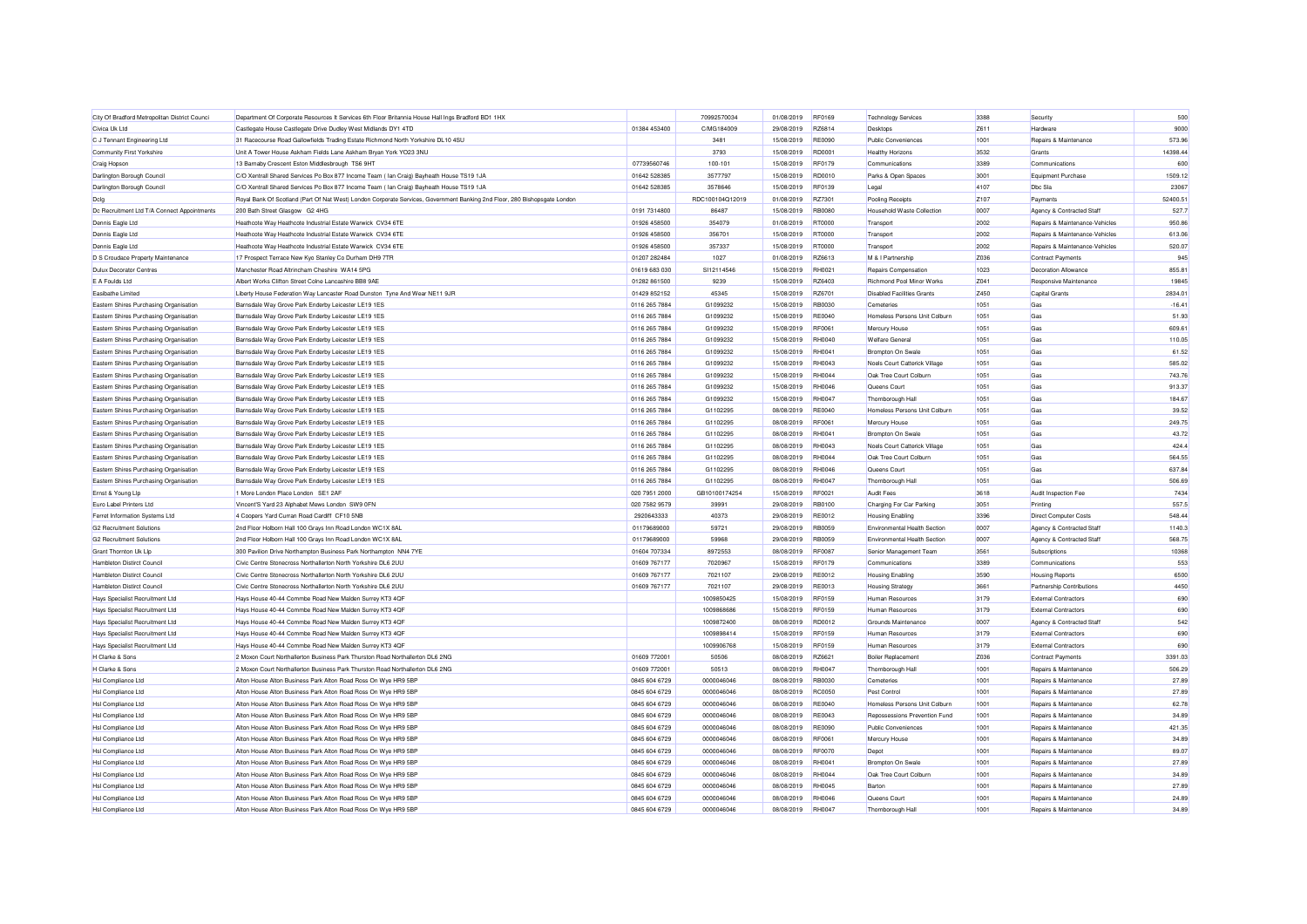| City Of Bradford Metropolitan District Counci | Department Of Corporate Resources It Services 6th Floor Britannia House Hall Ings Bradford BD1 1HX                        |               | 70992570034     | 01/08/2019 | <b>RF0169</b> | <b>Technology Services</b>        | 3388 | Security                                  | 500      |
|-----------------------------------------------|---------------------------------------------------------------------------------------------------------------------------|---------------|-----------------|------------|---------------|-----------------------------------|------|-------------------------------------------|----------|
| Civica Uk Ltd                                 | Castlegate House Castlegate Drive Dudley West Midlands DY1 4TD                                                            | 01384 453400  | C/MG184009      | 29/08/2019 | R76814        | Desktops                          | Z611 | Hardware                                  | 9000     |
| C J Tennant Engineering Ltd                   | 31 Racecourse Road Gallowfields Trading Estate Richmond North Yorkshire DL10 4SU                                          |               | 3481            | 15/08/2019 | <b>RE0090</b> | Public Conveniences               | 1001 | Repairs & Maintenance                     | 573.96   |
| <b>Community First Yorkshire</b>              | Unit A Tower House Askham Fields Lane Askham Bryan York YO23 3NU                                                          |               | 3793            | 15/08/2019 | RD0001        | <b>Healthy Horizons</b>           | 3532 | Grants                                    | 14398 44 |
| Craig Hopson                                  | 13 Barnaby Crescent Eston Middlesbrough TS6 9HT                                                                           | 07739560746   | 100-101         | 15/08/2019 | <b>RF0179</b> | Communications                    | 3389 | Communications                            | 600      |
| Darlington Borough Council                    | C/O Xentrall Shared Services Po Box 877 Income Team ( lan Craig) Bayheath House TS19 1JA                                  | 01642 528385  | 3577797         | 15/08/2019 | <b>BD0010</b> | Parks & Open Spaces               | 3001 | Equipment Purchase                        | 1509.12  |
| Darlington Borough Council                    | C/O Xentrall Shared Services Po Box 877 Income Team ( lan Craig) Bayheath House TS19 1JA                                  | 01642 528385  | 3578646         | 15/08/2019 | RF0139        | Legal                             | 4107 | Dhc Sla                                   | 23067    |
|                                               | Royal Bank Of Scotland (Part Of Nat West) London Corporate Services, Government Banking 2nd Floor, 280 Bishopsgate London |               | RDC100104Q12019 | 01/08/2019 | RZ7301        | Pooling Receipts                  | 7107 | Payments                                  | 52400.51 |
| Dclg                                          | 200 Bath Street Glasgow G2 4HG                                                                                            | 0191 7314800  | 86487           | 15/08/2019 | <b>RB0080</b> | Household Waste Collection        | 0007 |                                           | 527.7    |
| Dc Recruitment Ltd T/A Connect Appointments   |                                                                                                                           |               |                 |            |               |                                   |      | Agency & Contracted Staff                 |          |
| Dennis Eagle Ltd                              | Heathcote Way Heathcote Industrial Estate Warwick CV34 6TE                                                                | 01926 458500  | 354079          | 01/08/2019 | <b>RT0000</b> | Transport                         | 2002 | Repairs & Maintenance-Vehicles            | 950.86   |
| Dennis Eagle Ltd                              | Heathcote Way Heathcote Industrial Estate Warwick CV34 6TE                                                                | 01926 458500  | 356701          | 15/08/2019 | <b>RT0000</b> | Transport                         | 2002 | Repairs & Maintenance-Vehicles            | 613.06   |
| Dennis Eagle Ltd                              | Heathcote Way Heathcote Industrial Estate Warwick, CV34 6TE                                                               | 01926 458500  | 357337          | 15/08/2019 | <b>RT0000</b> | Transport                         | 2002 | <b>Benairs &amp; Maintenance-Vehicles</b> | 520.07   |
| D S Croudace Property Maintenance             | 17 Prospect Terrace New Kvo Stanley Co Durham DH9 7TR                                                                     | 01207 282484  | 1027            | 01/08/2019 | RZ6613        | M & I Partnership                 | Z036 | <b>Contract Payments</b>                  | 945      |
| <b>Dulux Decorator Centres</b>                | Manchester Road Altrincham Cheshire WA14 5PG                                                                              | 01619 683 030 | SI12114546      | 15/08/2019 | RH0021        | Repairs Compensation              | 1023 | Decoration Allowance                      | 855.81   |
| E A Foulds Ltd                                | Albert Works Clifton Street Colne Lancashire BB8 9AE                                                                      | 01282 861500  | 9239            | 15/08/2019 | R76403        | Richmond Pool Minor Works         | Z041 | Responsive Maintenance                    | 19845    |
| <b>Easibathe Limited</b>                      | Liberty House Federation Way Lancaster Road Dunston Tyne And Wear NE11 9JR                                                | 01429 852152  | 45345           | 15/08/2019 | <b>BZ6701</b> | <b>Disabled Facilities Grants</b> | Z450 | Capital Grants                            | 2834.01  |
| Eastern Shires Purchasing Organisation        | Barnsdale Way Grove Park Enderby Leicester LE19 1ES                                                                       | 0116 265 7884 | G1099232        | 15/08/2019 | RB0030        | Cemeteries                        | 1051 | Gas                                       | $-16.41$ |
| Eastern Shires Purchasing Organisation        | Barnsdale Way Grove Park Enderby Leicester LE19 1ES                                                                       | 0116 265 7884 | G1099232        | 15/08/2019 | <b>RE0040</b> | Homeless Persons Unit Colburn     | 1051 | Gas                                       | 51.93    |
| Eastern Shires Purchasing Organisation        | Barnsdale Way Grove Park Enderby Leicester LE19 1ES                                                                       | 0116 265 7884 | G1099232        | 15/08/2019 | <b>RF0061</b> | Mercury House                     | 1051 | Gas                                       | 609.61   |
| Eastern Shires Purchasing Organisation        | Barnsdale Way Grove Park Enderby Leicester LE19 1ES                                                                       | 0116 265 7884 | G1099232        | 15/08/2019 | <b>RH0040</b> | <b>Welfare General</b>            | 1051 | Gas                                       | 110.05   |
| Eastern Shires Purchasing Organisation        | Barnsdale Way Grove Park Enderby Leicester LE19 1ES                                                                       | 0116 265 7884 | G1099232        | 15/08/2019 | <b>RH0041</b> | Brompton On Swale                 | 1051 | Gas                                       | 61.52    |
| Eastern Shires Purchasing Organisation        | Barnsdale Way Grove Park Enderby Leicester LE19 1ES                                                                       | 0116 265 7884 | G1099232        | 15/08/2019 | RH0043        | Noels Court Catterick Village     | 1051 | Gas                                       | 585.02   |
| Eastern Shires Purchasing Organisation        | Barnsdale Way Grove Park Enderby Leicester LE19 1ES                                                                       | 0116 265 7884 | G1099232        | 15/08/2019 | <b>RH0044</b> | Oak Tree Court Colburn            | 1051 | Gas                                       | 743.76   |
| Eastern Shires Purchasing Organisation        | Barnsdale Way Grove Park Enderby Leicester LE19 1ES                                                                       | 0116 265 7884 | G1099232        | 15/08/2019 | <b>RH0046</b> | Queens Court                      | 1051 | Gas                                       | 913.37   |
| Eastern Shires Purchasing Organisation        | Barnsdale Way Grove Park Enderby Leicester LE19 1ES                                                                       | 0116 265 7884 | G1099232        | 15/08/2019 | <b>RH0047</b> | Thornborough Hall                 | 1051 | Gas                                       | 184.67   |
| Eastern Shires Purchasing Organisation        | Barnsdale Way Grove Park Enderby Leicester LE19 1ES                                                                       | 0116 265 7884 | G1102295        | 08/08/2019 | <b>RE0040</b> | Homeless Persons Unit Colburn     | 1051 | Gas                                       | 39.52    |
| Eastern Shires Purchasing Organisation        | Barnsdale Way Grove Park Enderby Leicester LE19 1ES                                                                       | 0116 265 7884 | G1102295        | 08/08/2019 | <b>RF0061</b> | Mercury House                     | 1051 | Gas                                       | 249.75   |
| Eastern Shires Purchasing Organisation        | Barnsdale Way Grove Park Enderby Leicester LE19 1ES                                                                       | 0116 265 7884 | G1102295        | 08/08/2019 | <b>RH0041</b> | Brompton On Swale                 | 1051 | Gas                                       | 43.72    |
| Eastern Shires Purchasing Organisation        | Barnsdale Way Grove Park Enderby Leicester LE19 1ES                                                                       | 0116 265 7884 | G1102295        | 08/08/2019 | <b>RH0043</b> | Noels Court Catterick Village     | 1051 | Gas                                       | 424.4    |
| Eastern Shires Purchasing Organisation        | Barnsdale Way Grove Park Enderby Leicester LE19 1ES                                                                       | 0116 265 7884 | G1102295        | 08/08/2019 | <b>RH0044</b> | Oak Tree Court Colburn            | 1051 | Gas                                       | 564.55   |
| Eastern Shires Purchasing Organisation        | Barnsdale Way Grove Park Enderby Leicester LE19 1ES                                                                       | 0116 265 7884 | G1102295        | 08/08/2019 | <b>RH0046</b> | Queens Cour                       | 1051 | Gas                                       | 637.84   |
| Eastern Shires Purchasing Organisation        | Barnsdale Way Grove Park Enderby Leicester LE19 1ES                                                                       | 0116 265 7884 | G1102295        | 08/08/2019 | <b>RH0047</b> | Thornborough Hall                 | 1051 | Gas                                       | 506.69   |
| Ernst & Young Lip                             | 1 More London Place London SE1 2AF                                                                                        | 020 7951 2000 | GB10100174254   | 15/08/2019 | <b>RF0021</b> | <b>Audit Fees</b>                 | 3618 | Audit Inspection Fee                      | 7434     |
| Euro Label Printers Ltd                       | Vincent'S Yard 23 Alphabet Mews London SW9 0FN                                                                            | 020 7582 9579 | 39991           | 29/08/2019 | RB0100        | Charging For Car Parking          | 3051 | Printing                                  | 557.5    |
| Ferret Information Systems Ltd                | 4 Coopers Yard Curran Road Cardiff CF10 5NB                                                                               | 2920643333    | 40373           | 29/08/2019 | RE0012        | <b>Housing Enabling</b>           | 3396 | <b>Direct Computer Costs</b>              | 548.44   |
| <b>G2 Recruitment Solutions</b>               | 2nd Floor Holborn Hall 100 Grays Inn Road London WC1X 8AL                                                                 | 01179689000   | 59721           | 29/08/2019 | <b>RB0059</b> | Environmental Health Section      | 0007 | Agency & Contracted Staff                 | 1140.3   |
| <b>G2 Recruitment Solutions</b>               | 2nd Floor Holborn Hall 100 Grays Inn Road London WC1X 8AL                                                                 | 01179689000   | 59968           | 29/08/2019 | <b>RB0059</b> | Environmental Health Section      | 0007 | Agency & Contracted Staff                 | 568.75   |
| Grant Thornton Uk Llp                         | 300 Pavilion Drive Northampton Business Park Northampton NN4 7YE                                                          | 01604 707334  | 8972553         | 08/08/2019 | <b>RF0087</b> | Senior Management Team            | 3561 | Subscriptions                             | 10368    |
| Hambleton Distirct Council                    | Civic Centre Stonecross Northallerton North Yorkshire DL6 2UU                                                             | 01609 767177  | 7020967         | 15/08/2019 | <b>RF0179</b> | Communications                    | 3389 | Communications                            | 553      |
| Hambleton Distirct Council                    | Civic Centre Stonecross Northallerton North Yorkshire DL6 2UU                                                             | 01609 767177  | 7021107         | 29/08/2019 | RE0012        | <b>Housing Enabling</b>           | 3590 |                                           | 6500     |
|                                               |                                                                                                                           |               |                 |            |               |                                   |      | <b>Housing Reports</b>                    |          |
| Hambleton Distirct Council                    | Civic Centre Stonecross Northallerton North Yorkshire DL6 2UU                                                             | 01609 767177  | 7021107         | 29/08/2019 | RE0013        | <b>Housing Strategy</b>           | 3661 | Partnership Contributions                 | 4450     |
| Hays Specialist Recruitment Ltd               | Hays House 40-44 Commbe Road New Malden Surrey KT3 4QF                                                                    |               | 1009850425      | 15/08/2019 | <b>RF0159</b> | Human Resources                   | 3179 | <b>External Contractors</b>               | 690      |
| Hays Specialist Recruitment Ltd               | Hays House 40-44 Commbe Road New Malden Surrey KT3 4QF                                                                    |               | 1009868686      | 15/08/2019 | <b>RF0159</b> | Human Resources                   | 3179 | <b>External Contractors</b>               | 690      |
| Hays Specialist Recruitment Ltd               | Havs House 40-44 Commbe Road New Malden Surrey KT3 4QF                                                                    |               | 1009872400      | 08/08/2019 | <b>RD0012</b> | Grounds Maintenance               | 0007 | Agency & Contracted Staff                 | 542      |
| <b>Hays Specialist Recruitment Ltd</b>        | Hays House 40-44 Commbe Road New Malden Surrey KT3 4QF                                                                    |               | 1009898414      | 15/08/2019 | <b>RF0159</b> | Human Resources                   | 3179 | <b>External Contractors</b>               | 690      |
| Hays Specialist Recruitment Ltd               | Hays House 40-44 Commbe Road New Malden Surrey KT3 4QF                                                                    |               | 1009906768      | 15/08/2019 | <b>RF0159</b> | Human Resources                   | 3179 | <b>External Contractors</b>               | 690      |
| H Clarke & Sons                               | 2 Moxon Court Northallerton Business Park Thurston Road Northallerton DL6 2NG                                             | 01609 772001  | 50506           | 08/08/2019 | RZ6621        | <b>Boiler Replacement</b>         | Z036 | <b>Contract Payments</b>                  | 3391.03  |
| H Clarke & Sons                               | 2 Moxon Court Northallerton Business Park Thurston Road Northallerton DL6 2NG                                             | 01609 772001  | 50513           | 08/08/2019 | <b>RH0047</b> | Thornborough Hall                 | 1001 | Repairs & Maintenance                     | 506.29   |
| Hsl Compliance Ltd                            | Alton House Alton Business Park Alton Road Ross On Wye HR9 5BP                                                            | 0845 604 6729 | 0000046046      | 08/08/2019 | <b>BB0030</b> | Cemeteries                        | 1001 | Repairs & Maintenance                     | 27.89    |
| Hsl Compliance Ltd                            | Alton House Alton Business Park Alton Road Ross On Wye HR9 5BP                                                            | 0845 604 6729 | 0000046046      | 08/08/2019 | <b>BC0050</b> | Pest Control                      | 1001 | Repairs & Maintenance                     | 27.89    |
| Hsl Compliance Ltd                            | Alton House Alton Business Park Alton Road Ross On Wye HR9 5BP                                                            | 0845 604 6729 | 0000046046      | 08/08/2019 | <b>RE0040</b> | Homeless Persons Unit Colbum      | 1001 | Repairs & Maintenance                     | 62.78    |
| Hsl Compliance Ltd                            | Alton House Alton Business Park Alton Road Ross On Wye HR9 5BF                                                            | 0845 604 6729 | 0000046046      | 08/08/2019 | <b>RE0043</b> | Repossessions Prevention Fund     | 1001 | Repairs & Maintenance                     | 34.89    |
| Hsl Compliance Ltd                            | Alton House Alton Business Park Alton Road Ross On Wye HR9 5BP                                                            | 0845 604 6729 | 0000046046      | 08/08/2019 | <b>RE0090</b> | Public Conveniences               | 1001 | Repairs & Maintenance                     | 421.35   |
| Hsl Compliance Ltd                            | Alton House Alton Business Park Alton Road Ross On Wye HR9 5BP                                                            | 0845 604 6729 | 0000046046      | 08/08/2019 | <b>RE0061</b> | Mercury House                     | 1001 | Repairs & Maintenance                     | 34.89    |
| Hsl Compliance Ltd                            | Alton House Alton Business Park Alton Road Ross On Wye HR9 5BP                                                            | 0845 604 6729 | 0000046046      | 08/08/2019 | <b>BE0070</b> | Depot                             | 1001 | Repairs & Maintenance                     | 89.07    |
| Hsl Compliance Ltd                            | Alton House Alton Business Park Alton Road Ross On Wye HR9 5BP                                                            | 0845 604 6729 | 0000046046      | 08/08/2019 | <b>RH0041</b> | <b>Brompton On Swale</b>          | 1001 | Repairs & Maintenance                     | 27.89    |
| Hsl Compliance Ltd                            | Alton House Alton Business Park Alton Road Ross On Wye HR9 5BP                                                            | 0845 604 6729 | 0000046046      | 08/08/2019 | <b>RH0044</b> | Oak Tree Court Colburn            | 1001 | Repairs & Maintenance                     | 34.89    |
| Hsl Compliance Ltd                            | Alton House Alton Business Park Alton Road Ross On Wye HR9 5BP                                                            | 0845 604 6729 | 0000046046      | 08/08/2019 | <b>RH0045</b> | Barton                            | 1001 | Repairs & Maintenance                     | 27.89    |
| Hsl Compliance Ltd.                           | Alton House Alton Business Park Alton Boad Boss On Wye HB9 5BP                                                            | 0845 604 6729 | 0000046046      | 08/08/2019 | <b>RH0046</b> | Queens Court                      | 1001 | Repairs & Maintenance                     | 24.89    |
| Hsl Compliance Ltd                            | Alton House Alton Business Park Alton Road Ross On Wye HR9 5BP                                                            | 0845 604 6729 | 0000046046      | 08/08/2019 | <b>RH0047</b> | Thornborough Hall                 | 1001 | <b>Benairs &amp; Maintenance</b>          | 34.89    |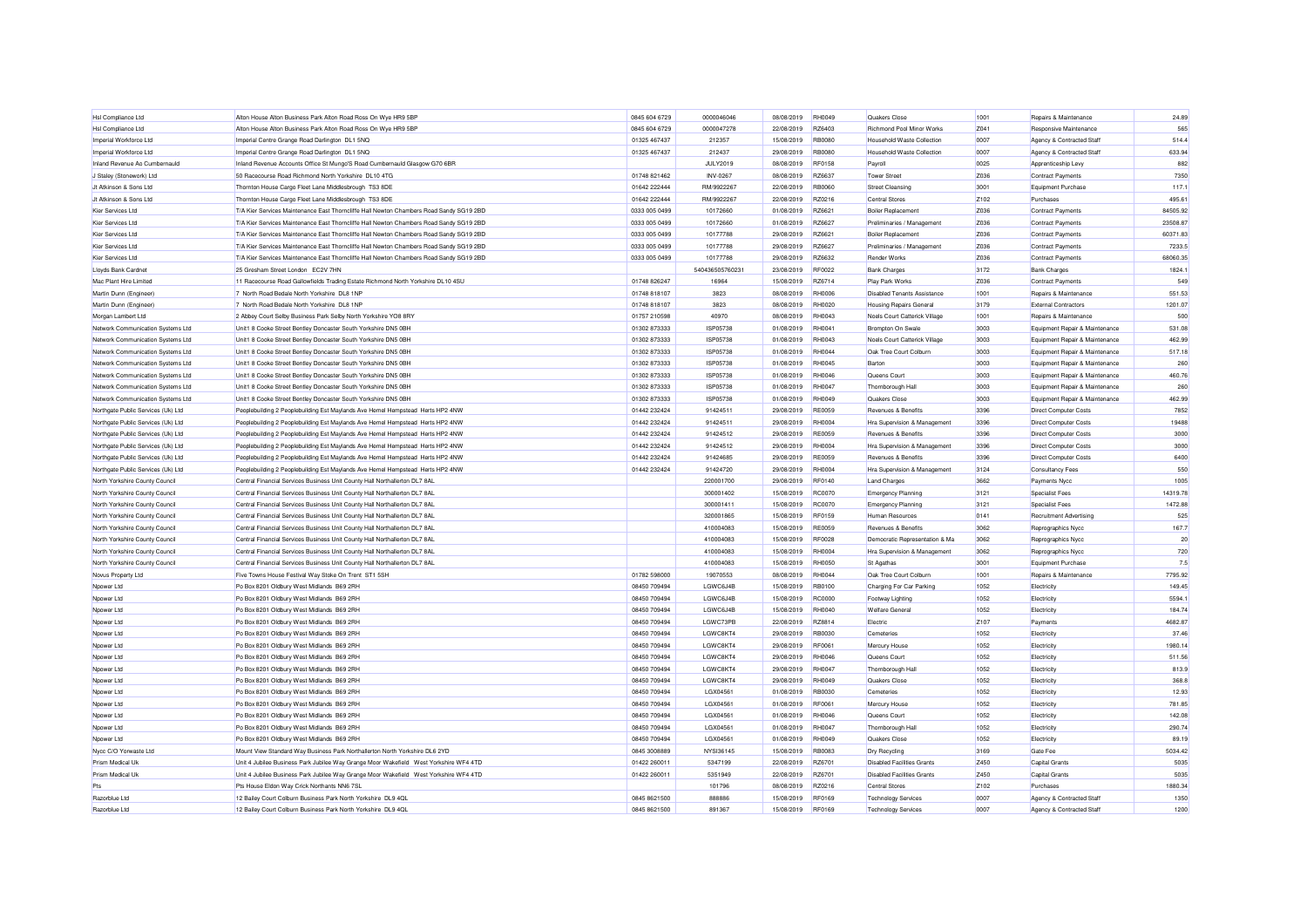| Hsl Compliance Ltd                 | Alton House Alton Business Park Alton Road Ross On Wye HR9 5BP                          | 0845 604 6729 | 0000046046       | 08/08/2019 | <b>RH0049</b> | Quakers Close                      | 1001             | Repairs & Maintenance          | 24.89    |
|------------------------------------|-----------------------------------------------------------------------------------------|---------------|------------------|------------|---------------|------------------------------------|------------------|--------------------------------|----------|
| Hsl Compliance Ltd                 | Alton House Alton Business Park Alton Road Ross On Wye HR9 5BP                          | 0845 604 6729 | 0000047278       | 22/08/2019 | RZ6403        | Richmond Pool Minor Works          | Z041             | Responsive Maintenance         | 565      |
| Imperial Workforce Ltd             | Imperial Centre Grange Road Darlington DL1 5NQ                                          | 01325 467437  | 212357           | 15/08/2019 | <b>RB0080</b> | Household Waste Collection         | 0007             | Agency & Contracted Staff      | 514.4    |
| Imperial Workforce Ltd             | Imperial Centre Grange Road Darlington DL1 5NQ                                          | 01325 467437  | 212437           | 29/08/2019 | <b>RB0080</b> | Household Waste Collection         | 0007             | Agency & Contracted Staff      | 633.94   |
| Inland Revenue Ao Cumbernauld      | Inland Revenue Accounts Office St Mungo'S Road Cumbernauld Glasgow G70 6BR              |               | <b>JULY2019</b>  | 08/08/2019 | RF0158        | Payroll                            | 0025             | Apprenticeship Levy            | 882      |
| J Staley (Stonework) Ltd           | 50 Racecourse Road Richmond North Yorkshire DL10 4TG                                    | 01748 821462  | INV-0267         | 08/08/2019 | RZ6637        | Tower Street                       | Z036             | <b>Contract Payments</b>       | 7350     |
| Jt Atkinson & Sons Ltd             | Thornton House Cargo Fleet Lane Middlesbrough TS3 8DE                                   | 01642 222444  | RM/9922267       | 22/08/2019 | <b>RB0060</b> | <b>Street Cleansing</b>            | 3001             | Equipment Purchase             | 117.1    |
| Jt Atkinson & Sons Ltd             | Thornton House Cargo Fleet Lane Middlesbrough TS3 8DE                                   | 01642 222444  | RM/992226        | 22/08/2019 | RZ0216        | <b>Central Stores</b>              | Z <sub>102</sub> | Purchases                      | 495.61   |
| Kier Services Ltd                  | T/A Kier Services Maintenance East Thorncliffe Hall Newton Chambers Road Sandy SG19 2BD | 0333 005 0499 | 10172660         | 01/08/2019 | RZ6621        | <b>Boiler Replacement</b>          | Z036             | <b>Contract Payments</b>       | 84505.92 |
| Kier Services Ltd                  | T/A Kier Services Maintenance East Thorncliffe Hall Newton Chambers Road Sandy SG19 2BD | 0333 005 0499 | 10172660         | 01/08/2019 | RZ6627        | Preliminaries / Management         | Z036             | <b>Contract Payments</b>       | 23508.87 |
| Kier Services Ltd                  | T/A Kier Services Maintenance East Thorncliffe Hall Newton Chambers Road Sandy SG19 2BD | 0333 005 0499 | 10177788         | 29/08/2019 | RZ6621        | Boiler Replacemen                  | Z036             | <b>Contract Payments</b>       | 60371.83 |
| Kier Services Ltd                  | T/A Kier Services Maintenance East Thorncliffe Hall Newton Chambers Road Sandy SG19 2BD | 0333 005 0499 | 10177788         | 29/08/2019 | R76627        | Preliminaries / Management         | Z036             | <b>Contract Payments</b>       | 7233.5   |
| Kier Services Ltd                  | T/A Kier Services Maintenance East Thorncliffe Hall Newton Chambers Road Sandy SG19 2BD | 0333 005 0499 | 10177788         | 29/08/2019 | RZ6632        | Render Works                       | Z036             | <b>Contract Payments</b>       | 68060.35 |
| Lloyds Bank Cardnet                | 25 Gresham Street London EC2V 7HN                                                       |               | 54043650576023   | 23/08/2019 | <b>RF0022</b> | <b>Bank Charges</b>                | 3172             | <b>Bank Charges</b>            | 1824.1   |
| Mac Plant Hire Limited             | 11 Racecourse Road Gallowfields Trading Estate Richmond North Yorkshire DL10 4SU        | 01748 826247  | 16964            | 15/08/2019 | R76714        | Play Park Works                    | 7036             | Contract Payments              | 549      |
| Martin Dunn (Engineer              | 7 North Road Bedale North Yorkshire DL8 1NP                                             | 01748 818107  | 3823             | 08/08/2019 | <b>RHOOO6</b> | <b>Disabled Tenants Assistance</b> | 1001             | Repairs & Maintenance          | 551.53   |
| Martin Dunn (Engineer)             | 7 North Road Bedale North Yorkshire DL8 1NP                                             | 01748 818107  | 3823             | 08/08/2019 | <b>RH0020</b> | <b>Housing Repairs General</b>     | 3179             | <b>External Contractors</b>    | 1201.07  |
| Morgan Lambert Ltd                 | 2 Abbey Court Selby Business Park Selby North Yorkshire YO8 8RY                         | 01757 210598  | 40970            | 08/08/2019 | <b>RH0043</b> | Noels Court Catterick Village      | 1001             | Repairs & Maintenance          | 500      |
| Network Communication Systems Ltd  | Unit1 8 Cooke Street Bentley Doncaster South Yorkshire DN5 0BH                          | 01302 873333  | ISP05738         | 01/08/2019 | <b>RH0041</b> | Brompton On Swale                  | 3003             | Equipment Repair & Maintenance | 531.08   |
| Network Communication Systems Ltd  | Unit1 8 Cooke Street Bentley Doncaster South Yorkshire DN5 0BH                          | 01302 873333  | ISP05738         | 01/08/2019 | <b>RH0043</b> | Noels Court Catterick Village      | 3003             | Equipment Repair & Maintenance | 462.99   |
| Network Communication Systems Ltd  | Unit1 8 Cooke Street Bentley Doncaster South Yorkshire DN5 0BH                          | 01302 873333  | ISP05738         | 01/08/2019 | <b>RH0044</b> | Oak Tree Court Colburn             | 3003             | Equipment Repair & Maintenance | 517.18   |
| Network Communication Systems Ltd  | Unit1 8 Cooke Street Bentley Doncaster South Yorkshire DN5 0BH                          | 01302873333   | ISP05738         | 01/08/2019 | <b>RH0045</b> | Barton                             | 3003             | Equipment Repair & Maintenance | 260      |
| Network Communication Systems Ltd  | Unit1 8 Cooke Street Bentley Doncaster South Yorkshire DN5 0BH                          | 01302 873333  | ISP05738         | 01/08/2019 | <b>RH0046</b> | Queens Court                       | 3003             | Equipment Repair & Maintenance | 460.76   |
| Network Communication Systems Ltd  | Unit1 8 Cooke Street Bentley Doncaster South Yorkshire DN5 0BH                          | 01302 873333  | ISP05738         | 01/08/2019 | <b>RH0047</b> | Thornborough Hall                  | 3003             | Equipment Repair & Maintenance | 260      |
| Network Communication Systems Ltd  |                                                                                         | 01302 873333  | ISP05738         | 01/08/2019 | RH0049        | Quakers Close                      | 3003             | Equipment Repair & Maintenance | 462.99   |
|                                    | Unit1 8 Cooke Street Bentley Doncaster South Yorkshire DN5 0BH                          |               |                  |            |               |                                    |                  |                                |          |
| Northgate Public Services (Uk) Ltd | Peoplebuilding 2 Peoplebuilding Est Maylands Ave Hemel Hempstead Herts HP2 4NW          | 01442 232424  | 91424511         | 29/08/2019 | <b>RE0059</b> | Revenues & Benefits                | 3396             | <b>Direct Computer Costs</b>   | 7852     |
| Northgate Public Services (Uk) Ltd | Peoplebuilding 2 Peoplebuilding Est Maylands Ave Hemel Hempstead Herts HP2 4NW          | 01442 232424  | 91424511         | 29/08/2019 | <b>RH0004</b> | Hra Supervision & Management       | 3396             | <b>Direct Computer Costs</b>   | 19488    |
| Northgate Public Services (Uk) Ltd | Peoplebuilding 2 Peoplebuilding Est Maylands Ave Hemel Hempstead Herts HP2 4NW          | 01442 232424  | 91424512         | 29/08/2019 | <b>RE0059</b> | <b>Revenues &amp; Benefits</b>     | 3396             | <b>Direct Computer Costs</b>   | 3000     |
| Northgate Public Services (Uk) Ltd | Peoplebuilding 2 Peoplebuilding Est Maylands Ave Hemel Hempstead Herts HP2 4NW          | 01442 232424  | 91424512         | 29/08/2019 | <b>RH0004</b> | Hra Supervision & Management       | 3396             | <b>Direct Computer Costs</b>   | 3000     |
| Northgate Public Services (Uk) Ltd | Peoplebuilding 2 Peoplebuilding Est Maylands Ave Hemel Hempstead Herts HP2 4NW          | 01442 232424  | 91424685         | 29/08/2019 | <b>RE0059</b> | Revenues & Benefits                | 3396             | <b>Direct Computer Costs</b>   | 6400     |
| Northgate Public Services (Uk) Ltd | Peoplebuilding 2 Peoplebuilding Est Maylands Ave Hemel Hempstead Herts HP2 4NW          | 01442 232424  | 91424720         | 29/08/2019 | <b>RH0004</b> | Hra Supervision & Management       | 3124             | <b>Consultancy Fees</b>        | 550      |
| North Yorkshire County Council     | Central Financial Services Business Unit County Hall Northallerton DL7 8AL              |               | 220001700        | 29/08/2019 | <b>RF0140</b> | <b>Land Charges</b>                | 3662             | Payments Nycc                  | 1005     |
| North Yorkshire County Council     | Central Financial Services Business Unit County Hall Northallerton DL7 8AL              |               | 300001402        | 15/08/2019 | <b>RC0070</b> | <b>Emergency Planning</b>          | 3121             | Specialist Fees                | 14319.78 |
| North Yorkshire County Counci      | Central Financial Services Business Unit County Hall Northallerton DL7 8AL              |               | 300001411        | 15/08/2019 | <b>RC0070</b> | Emergency Planning                 | 3121             | Specialist Fees                | 1472.88  |
| North Yorkshire County Council     | Central Financial Services Business Unit County Hall Northallerton DL7 8AL              |               | 320001865        | 15/08/2019 | <b>RF0159</b> | Human Resources                    | 0141             | Recruitment Advertising        | 525      |
| North Yorkshire County Council     | Central Financial Services Business Unit County Hall Northallerton DL7 8AL              |               | 410004083        | 15/08/2019 | <b>RE0059</b> | Revenues & Benefits                | \$608            | Reprographics Nycc             | 167.7    |
| North Yorkshire County Council     | Central Financial Services Business Unit County Hall Northallerton DL7 8AL              |               | 410004083        | 15/08/2019 | <b>RF0028</b> | Democratic Representation & Ma     | 3062             | Reprographics Nycc             | 20       |
| North Yorkshire County Council     | Central Financial Services Business Unit County Hall Northallerton DL7 8AL              |               | 410004083        | 15/08/2019 | <b>RH0004</b> | Hra Supervision & Management       | 3062             | Reprographics Nycc             | 720      |
| North Yorkshire County Council     | Central Financial Services Business Unit County Hall Northallerton DL7 8AL              |               | 410004083        | 15/08/2019 | RH0050        | St Agathas                         | 3001             | Equipment Purchase             | 7.5      |
| Novus Property Ltd                 | Five Towns House Festival Way Stoke On Trent ST1 5SH                                    | 01782 598000  | 19070553         | 08/08/2019 | <b>RH0044</b> | Oak Tree Court Colburn             | 1001             | Repairs & Maintenance          | 7795.92  |
| Npower Ltd                         | Po Box 8201 Oldbury West Midlands B69 2RH                                               | 08450 709494  | LGWC6J4B         | 15/08/2019 | <b>RB0100</b> | Charging For Car Parking           | 1052             | Electricity                    | 149.45   |
| Npower Ltd                         | Po Box 8201 Oldbury West Midlands B69 2RH                                               | 08450 709494  | LGWC6J4B         | 15/08/2019 | <b>RC0000</b> | Footway Lighting                   | 1052             | Electricity                    | 5594.1   |
| Noower Ltd                         | Po Box 8201 Oldbury West Midlands B69 2RH                                               | 08450 709494  | LGWC6J4B         | 15/08/2019 | <b>RH0040</b> | <b>Welfare General</b>             | 1052             | Electricity                    | 184.74   |
| Noower Ltd                         | Po Box 8201 Oldbury West Midlands B69 2RH                                               | 08450 709494  | LGWC73PB         | 22/08/2019 | RZ8814        | Electric                           | Z <sub>107</sub> | Payments                       | 4682.87  |
| Npower Ltd                         | Po Box 8201 Oldbury West Midlands B69 2RH                                               | 08450 709494  | LGWC8KT4         | 29/08/2019 | RB0030        | Cemeteries                         | 1052             | Electricity                    | 37.46    |
| Npower Ltd                         | Po Box 8201 Oldbury West Midlands B69 2RH                                               | 08450 709494  | LGWC8KT4         | 29/08/2019 | <b>RF0061</b> | Mercury House                      | 1052             | Electricity                    | 1980.14  |
| Noower Ltd                         | Po Box 8201 Oldbury West Midlands B69 2RH                                               | 08450 709494  | LGWC8KT4         | 29/08/2019 | <b>RH0046</b> | Queens Court                       | 1052             | Electricity                    | 511.56   |
| Noower Ltd                         | Po Box 8201 Oldbury West Midlands B69 2RH                                               | 08450 709494  | LGWC8KT4         | 29/08/2019 | <b>RH0047</b> | Thornborough Hall                  | 1052             | Electricity                    | 813.9    |
| Npower Ltd                         | Po Box 8201 Oldbury West Midlands B69 2RH                                               | 08450 709494  | LGWC8KT4         | 29/08/2019 | <b>RH0049</b> | Quakers Close                      | 1052             | Electricity                    | 368.8    |
| Npower Ltd                         | Po Box 8201 Oldbury West Midlands B69 2RH                                               | 08450 709494  | LGX04561         | 01/08/2019 | <b>RB0030</b> | Cemeteries                         | 1052             | Electricity                    | 12.93    |
| Npower Ltd                         | Po Box 8201 Oldbury West Midlands B69 2RH                                               | 08450 709494  | LGX04561         | 01/08/2019 | <b>RF0061</b> | Mercury House                      | 1052             | Electricity                    | 781.85   |
| Npower Ltd                         | Po Box 8201 Oldbury West Midlands B69 2RH                                               | 08450 709494  | LGX04561         | 01/08/2019 | <b>RH0046</b> | Queens Court                       | 1052             | Electricity                    | 142.08   |
| Npower Ltd                         | Po Box 8201 Oldbury West Midlands B69 2RH                                               | 08450 709494  | LGX04561         | 01/08/2019 | <b>RH0047</b> | Thornborough Hall                  | 1052             | Electricity                    | 290.74   |
| Npower Ltd                         | Po Box 8201 Oldbury West Midlands B69 2RH                                               | 08450 709494  | LGX04561         | 01/08/2019 | <b>RH0049</b> | Quakers Close                      | 1052             | Electricity                    | 89.19    |
| Nycc C/O Yorwaste Ltd              | Mount View Standard Way Business Park Northallerton North Yorkshire DL6 2YD             | 0845 3008889  | <b>NYSI36145</b> | 15/08/2019 | <b>RB0083</b> | Dry Recycling                      | 3169             | Gate Fee                       | 5034.42  |
| Prism Medical Uk                   |                                                                                         | 01422 260011  | 5347199          | 22/08/2019 | R76701        | <b>Disabled Facilities Grants</b>  | Z450             | Capital Grants                 | 5035     |
| Prism Medical Uk                   | Unit 4 Jubilee Business Park Jubilee Way Grange Moor Wakefield West Yorkshire WF4 4TD   | 01422 260011  | 5351949          |            | RZ6701        | <b>Disabled Facilities Grants</b>  |                  |                                |          |
|                                    | Unit 4 Jubilee Business Park Jubilee Way Grange Moor Wakefield West Yorkshire WF4 4TD   |               |                  | 22/08/2019 |               |                                    | Z450             | Capital Grants                 | 5035     |
| Pts                                | Pts House Eldon Way Crick Northants NN6 7SL                                             |               | 101796           | 08/08/2019 | RZ0216        | <b>Central Stores</b>              | Z <sub>102</sub> | Purchases                      | 1880.34  |
| Razorblue Ltd                      | 12 Bailey Court Colburn Business Park North Yorkshire DL9 4QL                           | 0845 8621500  | 888886           | 15/08/2019 | <b>RF0169</b> | <b>Technology Services</b>         | 0007             | Agency & Contracted Staff      | 1350     |
| Razorblue Ltd                      | 12 Bailey Court Colburn Business Park North Yorkshire DL9 4QL                           | 0845 8621500  | 891367           | 15/08/2019 | <b>RE0169</b> | <b>Technology Services</b>         | 0007             | Agency & Contracted Staff      | 1200     |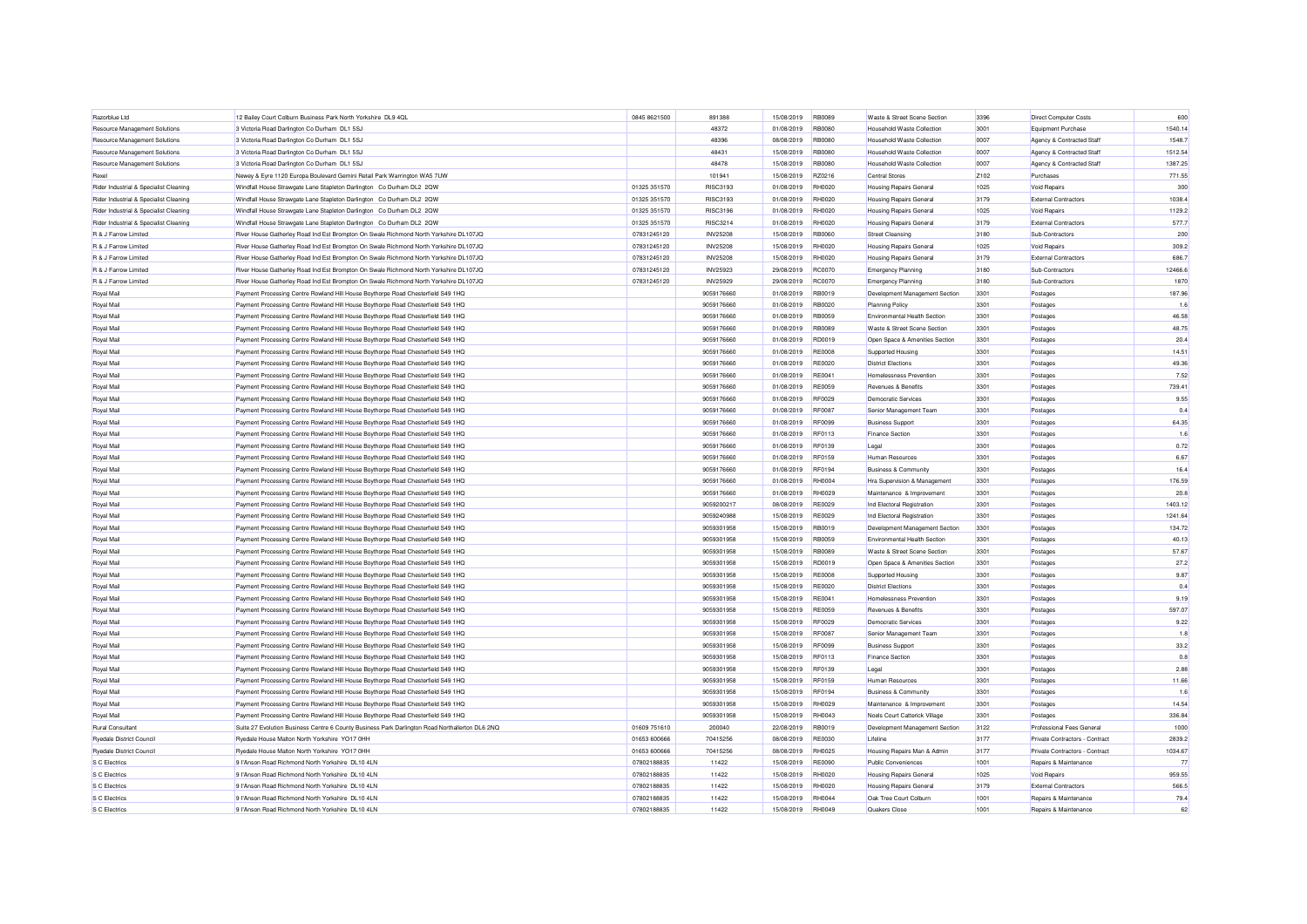| Razorblue Ltd                          | 12 Bailey Court Colburn Business Park North Yorkshire DL9 4QL                                   | 0845 8621500 | 891388          | 15/08/2019 | <b>RB0089</b> | Waste & Street Scene Section        | 3396             | Direct Computer Costs            | 600     |
|----------------------------------------|-------------------------------------------------------------------------------------------------|--------------|-----------------|------------|---------------|-------------------------------------|------------------|----------------------------------|---------|
| Resource Management Solutions          | 3 Victoria Road Darlington Co Durham DL1 5SJ                                                    |              | 48372           | 01/08/2019 | <b>RB0080</b> | Household Waste Collection          | 3001             | Equipment Purchase               | 1540.14 |
| Resource Management Solutions          | 3 Victoria Road Darlington Co Durham DL1 5SJ                                                    |              | 48396           | 08/08/2019 | <b>RB0080</b> | Household Waste Collection          | 0007             | Agency & Contracted Staff        | 1548.7  |
| Resource Management Solutions          | 3 Victoria Road Darlington Co Durham DL1 5SJ                                                    |              | 48431           | 15/08/2019 | <b>RB0080</b> | Household Waste Collection          | 0007             | Agency & Contracted Staff        | 1512.54 |
| Resource Management Solutions          | 3 Victoria Road Darlington Co Durham DL1 5SJ                                                    |              | 48478           | 15/08/2019 | <b>RB0080</b> | Household Waste Collection          | 0007             | Agency & Contracted Staff        | 1387.25 |
| Rexel                                  | Newey & Eyre 1120 Europa Boulevard Gemini Retail Park Warrington WA5 7UW                        |              | 101941          | 15/08/2019 | RZ0216        | Central Stores                      | Z <sub>102</sub> | Purchases                        | 771.55  |
| Rider Industrial & Specialist Cleaning | Windfall House Strawgate Lane Stapleton Darlington Co Durham DL2 2QW                            | 01325 351570 | <b>BISC3193</b> | 01/08/2019 | <b>RH0020</b> | <b>Housing Repairs General</b>      | 1025             | Void Repairs                     | 300     |
| Rider Industrial & Specialist Cleaning | Windfall House Strawgate Lane Stapleton Darlington Co Durham DL2 2QW                            | 01325 351570 | RISC3193        | 01/08/2019 | <b>RH0020</b> | Housing Repairs General             | 3179             | <b>External Contractors</b>      | 1038.4  |
| Rider Industrial & Specialist Cleaning | Windfall House Strawgate Lane Stapleton Darlington Co Durham DL2 2QW                            | 01325 351570 | <b>RISC3196</b> | 01/08/2019 | <b>RH0020</b> | <b>Housing Repairs General</b>      | 1025             | <b>Void Repairs</b>              | 1129.2  |
| Rider Industrial & Specialist Cleaning | Windfall House Strawgate Lane Stapleton Darlington Co Durham DL2 2QW                            | 01325 351570 | <b>RISC3214</b> | 01/08/2019 | <b>RH0020</b> | <b>Housing Repairs General</b>      | 3179             | <b>External Contractors</b>      | 577.7   |
| R & J Farrow Limited                   | River House Gatherley Road Ind Est Brompton On Swale Richmond North Yorkshire DL107JQ           | 07831245120  | <b>INV25208</b> | 15/08/2019 | <b>RB0060</b> | Street Cleansing                    | 3180             | Sub-Contractors                  | 200     |
| R & J Farrow Limited                   | River House Gatherley Road Ind Est Brompton On Swale Richmond North Yorkshire DL107JQ           | 07831245120  | <b>INV25208</b> | 15/08/2019 | <b>RH0020</b> | <b>Housing Repairs General</b>      | 1025             | Void Repairs                     | 309.2   |
| R & J Farrow Limited                   | River House Gatherley Road Ind Est Brompton On Swale Richmond North Yorkshire DL107JQ           | 07831245120  | <b>INV25208</b> | 15/08/2019 | <b>RH0020</b> | <b>Housing Repairs General</b>      | 3179             | <b>External Contractors</b>      | 686     |
| R & J Farrow Limited                   | River House Gatherley Road Ind Est Brompton On Swale Richmond North Yorkshire DL107JQ           | 07831245120  | INV25923        | 29/08/2019 | <b>BC0070</b> | Emergency Planning                  | 3180             | Sub-Contractors                  | 12466.6 |
| <b>B &amp; J Farrow Limited</b>        | River House Gatherley Road Ind Est Brompton On Swale Richmond North Yorkshire DL107JQ           | 07831245120  | <b>INV25929</b> | 29/08/2019 | <b>BC0070</b> | Emergency Planning                  | 3180             | Sub-Contractors                  | 1870    |
| Royal Mail                             | Payment Processing Centre Rowland Hill House Boythorpe Road Chesterfield S49 1HQ                |              | 9059176660      | 01/08/2019 | <b>RB0019</b> | Development Management Section      | 3301             | Postages                         | 187.96  |
| Royal Mail                             | Payment Processing Centre Rowland Hill House Boythorpe Road Chesterfield S49 1HQ                |              | 9059176660      | 01/08/2019 | <b>BB0020</b> | Planning Policy                     | 3301             | Postages                         | 1.6     |
| Roval Mail                             | Payment Processing Centre Rowland Hill House Boythorpe Road Chesterfield S49 1HQ                |              | 9059176660      | 01/08/2019 | <b>BB0059</b> | <b>Environmental Health Section</b> | 3301             | Postages                         | 46.58   |
| Royal Mail                             | Payment Processing Centre Rowland Hill House Boythorpe Road Chesterfield S49 1HQ                |              | 9059176660      | 01/08/2019 | <b>RB0089</b> | Waste & Street Scene Section        | 3301             | Postages                         | 48.75   |
| Roval Mail                             | Payment Processing Centre Rowland Hill House Boythorpe Road Chesterfield S49 1HQ                |              | 9059176660      | 01/08/2019 | RD0019        | Open Space & Amenities Section      | 3301             | Postages                         | 20.4    |
| Royal Mail                             | Payment Processing Centre Rowland Hill House Boythorpe Road Chesterfield S49 1HQ                |              | 9059176660      | 01/08/2019 | <b>RE0008</b> | Supported Housing                   | 3301             | Postages                         | 14.51   |
| Roval Mail                             | Payment Processing Centre Rowland Hill House Boythorpe Road Chesterfield S49 1HQ                |              | 9059176660      | 01/08/2019 | <b>RE0020</b> | <b>District Flections</b>           | 3301             | Postages                         | 49.36   |
| Royal Mail                             | Payment Processing Centre Rowland Hill House Boythorpe Road Chesterfield S49 1HQ                |              | 9059176660      | 01/08/2019 | <b>RE0041</b> | Homelessness Prevention             | 3301             | Postages                         | 7.52    |
| Roval Mail                             | Payment Processing Centre Rowland Hill House Boythorpe Road Chesterfield S49 1HQ                |              | 9059176660      | 01/08/2019 | <b>RE0059</b> | Revenues & Benefits                 | 3301             | Postages                         | 739.41  |
| Royal Mail                             | Payment Processing Centre Rowland Hill House Boythorpe Road Chesterfield S49 1HQ                |              | 9059176660      | 01/08/2019 | <b>RF0029</b> | Democratic Services                 | 3301             | Postages                         | 9.55    |
| Royal Mail                             | Payment Processing Centre Rowland Hill House Boythorpe Road Chesterfield S49 1HQ                |              | 9059176660      | 01/08/2019 | BE0087        | Senior Management Team              | 3301             | Postages                         | 0.4     |
| Royal Mail                             | Payment Processing Centre Rowland Hill House Boythorpe Road Chesterfield S49 1HQ                |              | 9059176660      | 01/08/2019 | <b>RF0099</b> | <b>Business Support</b>             | 3301             | Postages                         | 64.35   |
| Royal Mail                             | Payment Processing Centre Rowland Hill House Boythorpe Road Chesterfield S49 1HQ                |              | 9059176660      | 01/08/2019 | RF0113        | Finance Section                     | 3301             | Postages                         | 1.6     |
| Royal Mail                             | Payment Processing Centre Rowland Hill House Boythorpe Road Chesterfield S49 1HQ                |              | 9059176660      | 01/08/2019 | RF0139        | Legal                               | 3301             | Postages                         | 0.72    |
| Royal Mail                             | Payment Processing Centre Rowland Hill House Boythorpe Road Chesterfield S49 1HQ                |              | 9059176660      | 01/08/2019 | RF0159        | Human Resources                     | 3301             | Postages                         | 6.67    |
|                                        |                                                                                                 |              |                 |            |               |                                     |                  |                                  |         |
| Royal Mail                             | Payment Processing Centre Rowland Hill House Boythorpe Road Chesterfield S49 1HQ                |              | 9059176660      | 01/08/2019 | <b>RF0194</b> | <b>Business &amp; Community</b>     | 3301             | Postages                         | 16.4    |
| Royal Mail                             | Payment Processing Centre Rowland Hill House Boythorpe Road Chesterfield S49 1HQ                |              | 9059176660      | 01/08/2019 | <b>RH0004</b> | Hra Supervision & Management        | 3301             | Postages                         | 176.59  |
| Royal Mail                             | Payment Processing Centre Rowland Hill House Boythorpe Road Chesterfield S49 1HQ                |              | 9059176660      | 01/08/2019 | <b>RH0029</b> | Maintenance & Improvement           | 3301             | Postages                         | 20.8    |
| Royal Mail                             | Payment Processing Centre Rowland Hill House Boythorpe Road Chesterfield S49 1HQ                |              | 9059200217      | 08/08/2019 | <b>RE0029</b> | Ind Electoral Registration          | 3301             | Postages                         | 1403.12 |
| Royal Mail                             | Payment Processing Centre Rowland Hill House Boythorpe Road Chesterfield S49 1HQ                |              | 9059240988      | 15/08/2019 | <b>RE0029</b> | Ind Electoral Registration          | 3301             | Postages                         | 1241.64 |
| Royal Mail                             | Payment Processing Centre Rowland Hill House Boythorpe Road Chesterfield S49 1HQ                |              | 9059301958      | 15/08/2019 | RB0019        | Development Management Section      | 3301             | Postages                         | 134.72  |
| Royal Mail                             | Payment Processing Centre Rowland Hill House Boythorpe Road Chesterfield S49 1HQ                |              | 9059301958      | 15/08/2019 | RB0059        | Environmental Health Section        | 3301             | Postages                         | 40.13   |
| Royal Mail                             | Payment Processing Centre Rowland Hill House Boythorpe Road Chesterfield S49 1HQ                |              | 9059301958      | 15/08/2019 | <b>RB0089</b> | Waste & Street Scene Section        | 3301             | Postages                         | 57.67   |
| Royal Mail                             | Payment Processing Centre Rowland Hill House Boythorpe Road Chesterfield S49 1HQ                |              | 9059301958      | 15/08/2019 | <b>RD0019</b> | Open Space & Amenities Section      | 3301             | Postages                         | 27.2    |
| Royal Mail                             | Payment Processing Centre Rowland Hill House Boythorpe Road Chesterfield S49 1HQ                |              | 9059301958      | 15/08/2019 | <b>RE0008</b> | Supported Housing                   | 3301             | Postages                         | 9.87    |
| Royal Mail                             | Payment Processing Centre Rowland Hill House Boythorpe Road Chesterfield S49 1HQ                |              | 9059301958      | 15/08/2019 | <b>RE0020</b> | <b>District Elections</b>           | 3301             | Postages                         | 0.4     |
| Royal Mail                             | Payment Processing Centre Rowland Hill House Boythorpe Road Chesterfield S49 1HQ                |              | 9059301958      | 15/08/2019 | <b>RE0041</b> | Homelessness Prevention             | 3301             | Postages                         | 9.19    |
| Royal Mail                             | Payment Processing Centre Rowland Hill House Boythorpe Road Chesterfield S49 1HQ                |              | 9059301958      | 15/08/2019 | <b>RE0059</b> | Revenues & Benefits                 | 3301             | Postages                         | 597.07  |
| Royal Mail                             | Payment Processing Centre Rowland Hill House Boythorpe Road Chesterfield S49 1HQ                |              | 9059301958      | 15/08/2019 | <b>RF0029</b> | Democratic Services                 | 3301             | Postages                         | 9.22    |
| Royal Mail                             | Payment Processing Centre Rowland Hill House Boythorpe Road Chesterfield S49 1HQ                |              | 9059301958      | 15/08/2019 | BE0087        | Senior Management Team              | 3301             | Postages                         | 1.8     |
| Royal Mail                             | Payment Processing Centre Rowland Hill House Boythorpe Road Chesterfield S49 1HQ                |              | 9059301958      | 15/08/2019 | <b>RF0099</b> | <b>Business Support</b>             | 3301             | Postages                         | 33.2    |
| Royal Mail                             | Payment Processing Centre Rowland Hill House Boythorpe Road Chesterfield S49 1HQ                |              | 9059301958      | 15/08/2019 | <b>RF0113</b> | <b>Finance Section</b>              | 3301             | Postages                         | 0.8     |
| Royal Mail                             | Payment Processing Centre Rowland Hill House Boythorpe Road Chesterfield S49 1HQ                |              | 9059301958      | 15/08/2019 | <b>RF0139</b> | Legal                               | 3301             | Postages                         | 2.88    |
| Royal Mail                             | Payment Processing Centre Rowland Hill House Boythorpe Road Chesterfield S49 1HQ                |              | 9059301958      | 15/08/2019 | <b>RE0159</b> | Human Resources                     | 3301             | Postages                         | 11.66   |
| Royal Mail                             | Payment Processing Centre Rowland Hill House Boythorpe Road Chesterfield S49 1HQ                |              | 9059301958      | 15/08/2019 | <b>RF0194</b> | <b>Business &amp; Community</b>     | 3301             | Postages                         | 1.6     |
| Royal Mail                             | Payment Processing Centre Rowland Hill House Boythorpe Road Chesterfield S49 1HQ                |              | 9059301958      | 15/08/2019 | <b>RH0029</b> | Maintenance & Improvement           | 3301             | Postages                         | 14.54   |
| Royal Mail                             | Payment Processing Centre Rowland Hill House Boythorpe Road Chesterfield S49 1HQ                |              | 9059301958      | 15/08/2019 | <b>RH0043</b> | Noels Court Catterick Village       | 3301             | Postages                         | 336.84  |
| Rural Consultant                       | Suite 27 Evolution Business Centre 6 County Business Park Darlington Road Northallerton DL6 2NQ | 01609 751610 | 200040          | 22/08/2019 | <b>RB0019</b> | Development Management Section      | 3122             | Professional Fees General        | 1000    |
| Ryedale District Council               | Ryedale House Malton North Yorkshire YO17 0HH                                                   | 01653 600666 | 70415256        | 08/08/2019 | <b>RE0030</b> | I ifeline                           | 3177             | Private Contractors - Contract   | 2839.2  |
| Ryedale District Council               | Ryedale House Malton North Yorkshire YO17 0HH                                                   | 01653 600666 | 70415256        | 08/08/2019 | <b>RH0025</b> | Housing Repairs Man & Admin         | 3177             | Private Contractors - Contract   | 1034.67 |
| S C Flectrics                          | 9 l'Anson Boad Richmond North Yorkshire DJ 10 4LN                                               | 07802188835  | 11422           | 15/08/2019 | <b>RE0090</b> | Public Conveniences                 | 1001             | Repairs & Maintenance            | 77      |
| S C Electrics                          | 9 l'Anson Road Richmond North Yorkshire DL10 4LN                                                | 07802188835  | 11422           | 15/08/2019 | <b>RH0020</b> | <b>Housing Repairs General</b>      | 1025             | Void Repairs                     | 959.55  |
| S C Electrics                          | 9 l'Anson Boad Richmond North Yorkshire DI 10 4LN                                               | 07802188835  | 11422           | 15/08/2019 | <b>RH0020</b> | <b>Housing Repairs General</b>      | 3179             | <b>External Contractors</b>      | 566.5   |
| S C Flectrics                          | 9 l'Anson Road Richmond North Yorkshire DL10 4LN                                                | 07802188835  | 11422           | 15/08/2019 | <b>RH0044</b> | Oak Tree Court Colburn              | 1001             | Repairs & Maintenance            | 79.4    |
| S C Electrics                          | 9 l'Anson Road Richmond North Yorkshire DL10 4LN                                                | 07802188835  | 11422           | 15/08/2019 | <b>RH0049</b> | Quakers Close                       | 1001             | <b>Benairs &amp; Maintenance</b> | 62      |